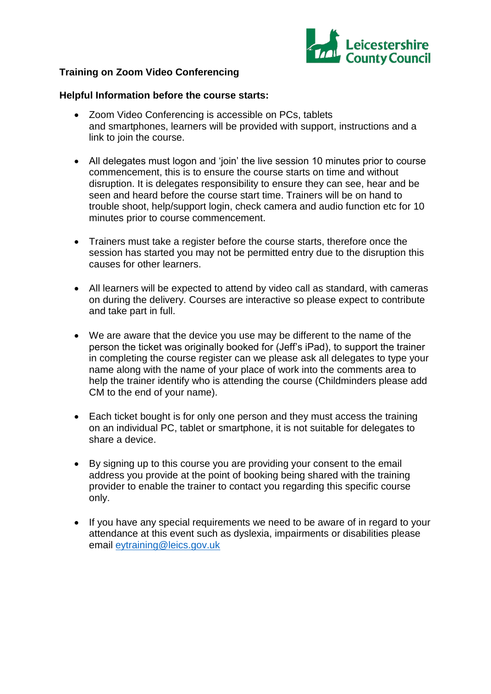

## **Training on Zoom Video Conferencing**

#### **Helpful Information before the course starts:**

- Zoom Video Conferencing is accessible on PCs, tablets and smartphones, learners will be provided with support, instructions and a link to join the course.
- All delegates must logon and 'join' the live session 10 minutes prior to course commencement, this is to ensure the course starts on time and without disruption. It is delegates responsibility to ensure they can see, hear and be seen and heard before the course start time. Trainers will be on hand to trouble shoot, help/support login, check camera and audio function etc for 10 minutes prior to course commencement.
- Trainers must take a register before the course starts, therefore once the session has started you may not be permitted entry due to the disruption this causes for other learners.
- All learners will be expected to attend by video call as standard, with cameras on during the delivery. Courses are interactive so please expect to contribute and take part in full.
- We are aware that the device you use may be different to the name of the person the ticket was originally booked for (Jeff's iPad), to support the trainer in completing the course register can we please ask all delegates to type your name along with the name of your place of work into the comments area to help the trainer identify who is attending the course (Childminders please add CM to the end of your name).
- Each ticket bought is for only one person and they must access the training on an individual PC, tablet or smartphone, it is not suitable for delegates to share a device.
- By signing up to this course you are providing your consent to the email address you provide at the point of booking being shared with the training provider to enable the trainer to contact you regarding this specific course only.
- If you have any special requirements we need to be aware of in regard to your attendance at this event such as dyslexia, impairments or disabilities please email [eytraining@leics.gov.uk](mailto:eytraining@leics.gov.uk)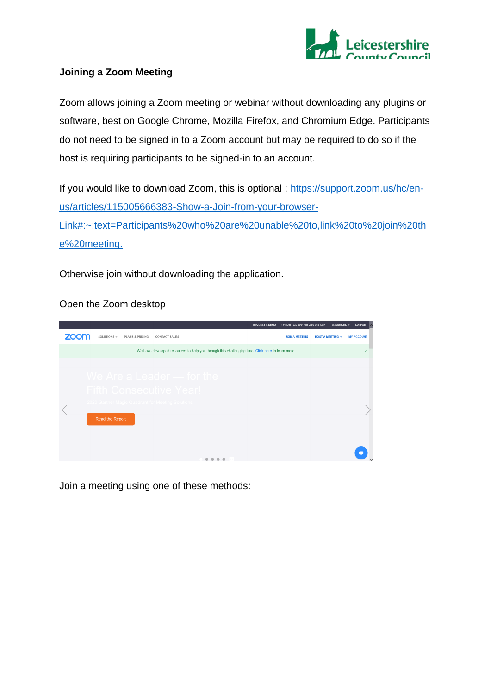

# **Joining a Zoom Meeting**

Zoom allows joining a Zoom meeting or webinar without downloading any plugins or software, best on Google Chrome, Mozilla Firefox, and Chromium Edge. Participants do not need to be signed in to a Zoom account but may be required to do so if the host is requiring participants to be signed-in to an account.

If you would like to download Zoom, this is optional : [https://support.zoom.us/hc/en](https://support.zoom.us/hc/en-us/articles/115005666383-Show-a-Join-from-your-browser-Link#:~:text=Participants%20who%20are%20unable%20to,link%20to%20join%20the%20meeting.)[us/articles/115005666383-Show-a-Join-from-your-browser-](https://support.zoom.us/hc/en-us/articles/115005666383-Show-a-Join-from-your-browser-Link#:~:text=Participants%20who%20are%20unable%20to,link%20to%20join%20the%20meeting.)[Link#:~:text=Participants%20who%20are%20unable%20to,link%20to%20join%20th](https://support.zoom.us/hc/en-us/articles/115005666383-Show-a-Join-from-your-browser-Link#:~:text=Participants%20who%20are%20unable%20to,link%20to%20join%20the%20meeting.) [e%20meeting.](https://support.zoom.us/hc/en-us/articles/115005666383-Show-a-Join-from-your-browser-Link#:~:text=Participants%20who%20are%20unable%20to,link%20to%20join%20the%20meeting.)

Otherwise join without downloading the application.

Open the Zoom desktop



Join a meeting using one of these methods: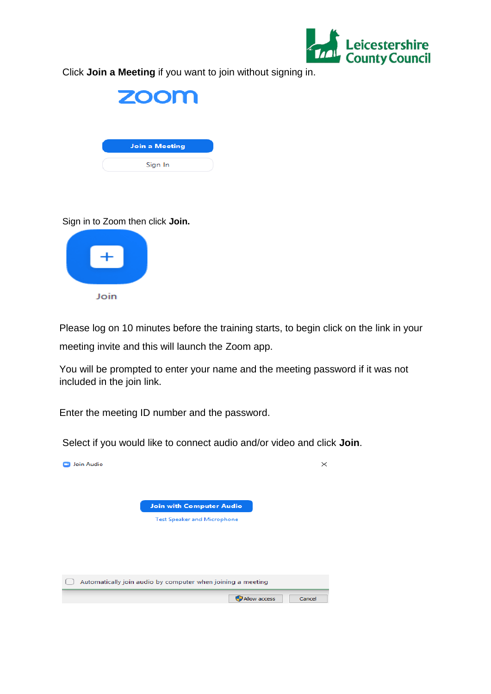

Click **Join a Meeting** if you want to join without signing in.



#### Sign in to Zoom then click **Join.**



Please log on 10 minutes before the training starts, to begin click on the link in your

meeting invite and this will launch the Zoom app.

You will be prompted to enter your name and the meeting password if it was not included in the join link.

Enter the [meeting ID](https://support.zoom.us/hc/en-us/articles/201362373-What-is-a-Meeting-ID-) number and the password.

Select if you would like to connect audio and/or video and click **Join**.

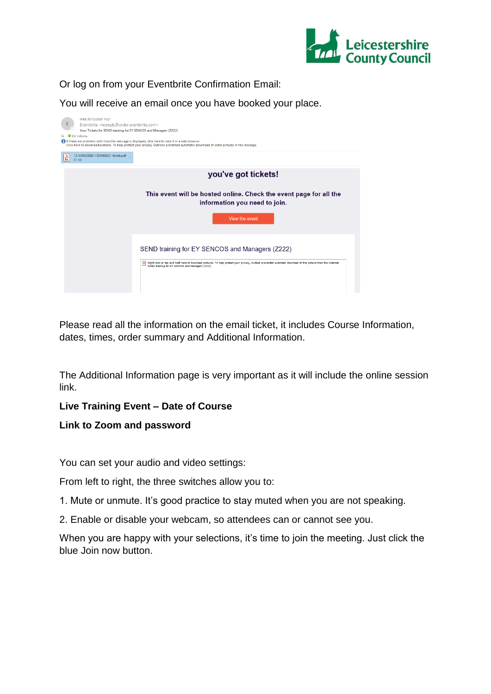

Or log on from your Eventbrite Confirmation Email:

You will receive an email once you have booked your place.



Please read all the information on the email ticket, it includes Course Information, dates, times, order summary and Additional Information.

The Additional Information page is very important as it will include the online session link.

## **Live Training Event – Date of Course**

## **Link to Zoom and password**

You can set your audio and video settings:

From left to right, the three switches allow you to:

1. Mute or unmute. It's good practice to stay muted when you are not speaking.

2. Enable or disable your webcam, so attendees can or cannot see you.

When you are happy with your selections, it's time to join the meeting. Just click the blue Join now button.